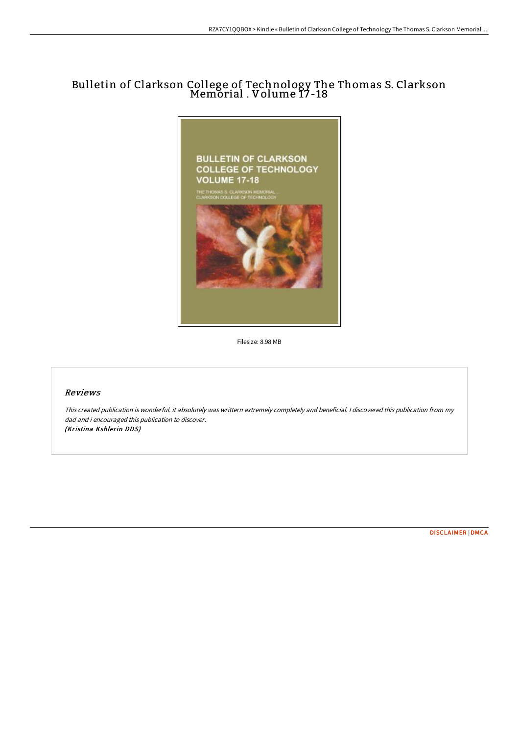# Bulletin of Clarkson College of Technology The Thomas S. Clarkson Memorial . Volume 17-18



Filesize: 8.98 MB

# Reviews

This created publication is wonderful. it absolutely was writtern extremely completely and beneficial. I discovered this publication from my dad and i encouraged this publication to discover. (Kristina Kshlerin DDS)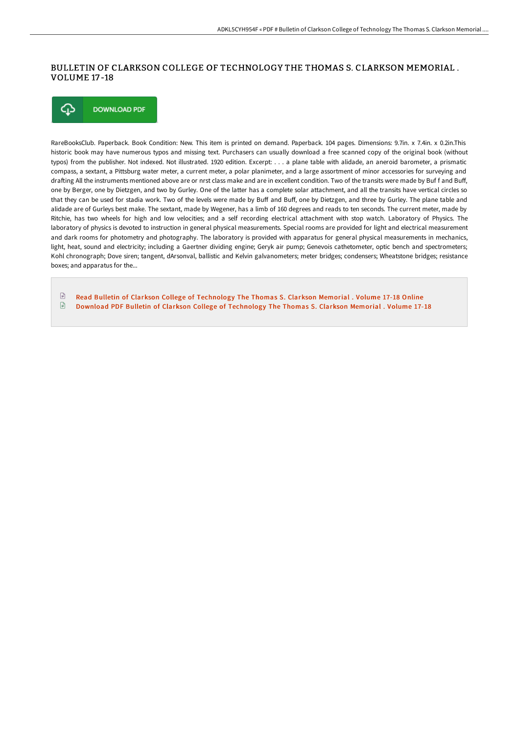## BULLETIN OF CLARKSON COLLEGE OF TECHNOLOGY THE THOMAS S. CLARKSON MEMORIAL . VOLUME 17 -18



RareBooksClub. Paperback. Book Condition: New. This item is printed on demand. Paperback. 104 pages. Dimensions: 9.7in. x 7.4in. x 0.2in.This historic book may have numerous typos and missing text. Purchasers can usually download a free scanned copy of the original book (without typos) from the publisher. Not indexed. Not illustrated. 1920 edition. Excerpt: . . . a plane table with alidade, an aneroid barometer, a prismatic compass, a sextant, a Pittsburg water meter, a current meter, a polar planimeter, and a large assortment of minor accessories for surveying and drafting All the instruments mentioned above are or nrst class make and are in excellent condition. Two of the transits were made by Buf f and Buff, one by Berger, one by Dietzgen, and two by Gurley. One of the latter has a complete solar attachment, and all the transits have vertical circles so that they can be used for stadia work. Two of the levels were made by Buff and Buff, one by Dietzgen, and three by Gurley. The plane table and alidade are of Gurleys best make. The sextant, made by Wegener, has a limb of 160 degrees and reads to ten seconds. The current meter, made by Ritchie, has two wheels for high and low velocities; and a self recording electrical attachment with stop watch. Laboratory of Physics. The laboratory of physics is devoted to instruction in general physical measurements. Special rooms are provided for light and electrical measurement and dark rooms for photometry and photography. The laboratory is provided with apparatus for general physical measurements in mechanics, light, heat, sound and electricity; including a Gaertner dividing engine; Geryk air pump; Genevois cathetometer, optic bench and spectrometers; Kohl chronograph; Dove siren; tangent, dArsonval, ballistic and Kelvin galvanometers; meter bridges; condensers; Wheatstone bridges; resistance boxes; and apparatus for the...

 $\mathbb{R}$ Read Bulletin of Clarkson College of [Technology](http://albedo.media/bulletin-of-clarkson-college-of-technology-the-t-2.html) The Thomas S. Clarkson Memorial . Volume 17-18 Online  $\Box$ Download PDF Bulletin of Clarkson College of [Technology](http://albedo.media/bulletin-of-clarkson-college-of-technology-the-t-2.html) The Thomas S. Clarkson Memorial . Volume 17-18